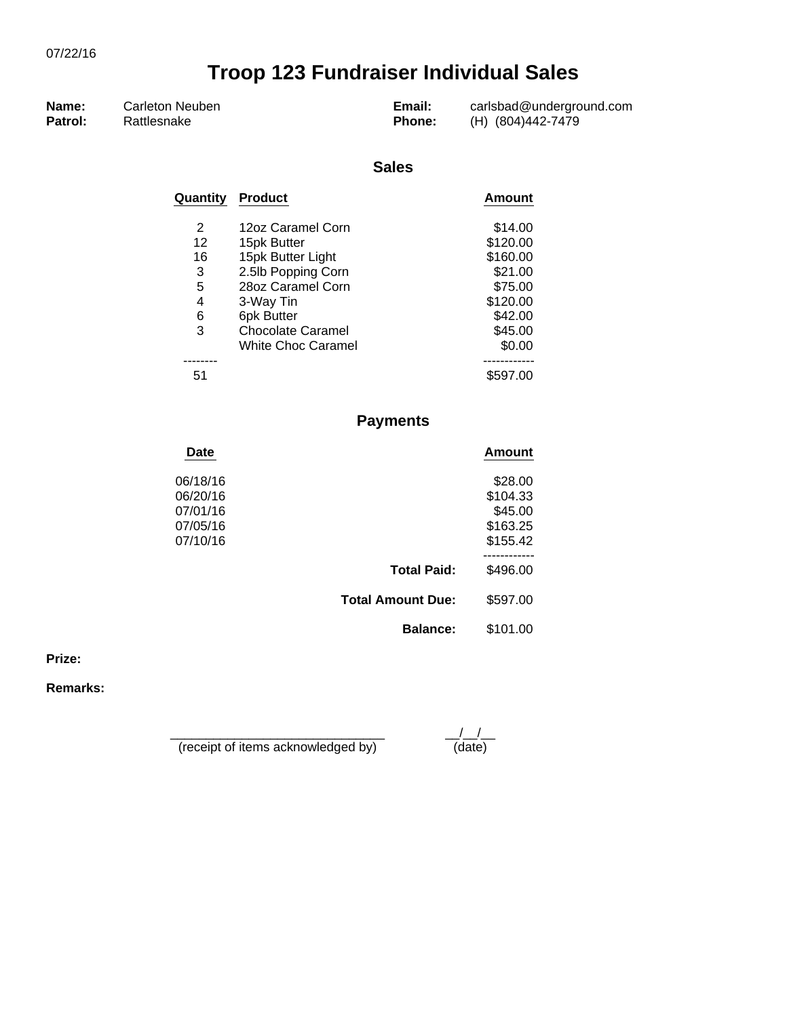| Name:   | Carleton Neuben | Email:        | carlsbad@underground.com |
|---------|-----------------|---------------|--------------------------|
| Patrol: | Rattlesnake     | <b>Phone:</b> | (H) (804)442-7479        |

#### **Sales**

| Quantity | <b>Product</b>            | <b>Amount</b> |
|----------|---------------------------|---------------|
| 2        | 12oz Caramel Corn         | \$14.00       |
| 12       | 15pk Butter               | \$120.00      |
| 16       | 15pk Butter Light         | \$160.00      |
| 3        | 2.5lb Popping Corn        | \$21.00       |
| 5        | 28oz Caramel Corn         | \$75.00       |
| 4        | 3-Way Tin                 | \$120.00      |
| 6        | 6pk Butter                | \$42.00       |
| 3        | <b>Chocolate Caramel</b>  | \$45.00       |
|          | <b>White Choc Caramel</b> | \$0.00        |
|          |                           |               |
| 51       |                           | \$597.00      |

## **Payments**

| Date     |                          | <b>Amount</b> |
|----------|--------------------------|---------------|
| 06/18/16 |                          | \$28.00       |
| 06/20/16 |                          | \$104.33      |
| 07/01/16 |                          | \$45.00       |
| 07/05/16 |                          | \$163.25      |
| 07/10/16 |                          | \$155.42      |
|          |                          |               |
|          | <b>Total Paid:</b>       | \$496.00      |
|          | <b>Total Amount Due:</b> | \$597.00      |
|          | <b>Balance:</b>          | \$101.00      |

**Prize:**

**Remarks:**

\_\_\_\_\_\_\_\_\_\_\_\_\_\_\_\_\_\_\_\_\_\_\_\_\_\_\_\_\_\_ \_\_/\_\_/\_\_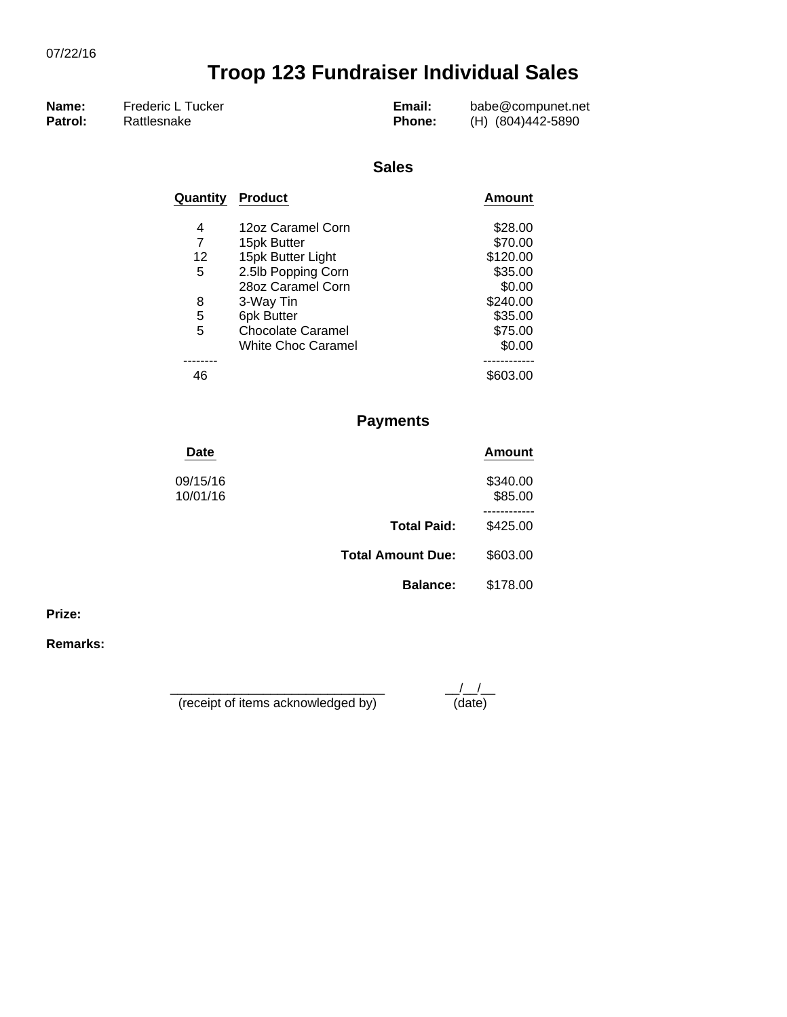| Name:   | Frederic L Tucker | Email:        | babe@compunet.net |
|---------|-------------------|---------------|-------------------|
| Patrol: | Rattlesnake       | <b>Phone:</b> | (H) (804)442-5890 |

#### **Sales**

| Quantity | <b>Product</b>           | Amount   |
|----------|--------------------------|----------|
| 4        | 12oz Caramel Corn        | \$28.00  |
|          | 15pk Butter              | \$70.00  |
| 12       | 15pk Butter Light        | \$120.00 |
| 5        | 2.5lb Popping Corn       | \$35.00  |
|          | 28oz Caramel Corn        | \$0.00   |
| 8        | 3-Way Tin                | \$240.00 |
| 5        | 6pk Butter               | \$35.00  |
| 5        | <b>Chocolate Caramel</b> | \$75.00  |
|          | White Choc Caramel       | \$0.00   |
|          |                          |          |
| 46       |                          | \$603.00 |

### **Payments**

| Date                 |                          | Amount              |
|----------------------|--------------------------|---------------------|
| 09/15/16<br>10/01/16 |                          | \$340.00<br>\$85.00 |
|                      | <b>Total Paid:</b>       | \$425.00            |
|                      | <b>Total Amount Due:</b> | \$603.00            |
|                      | <b>Balance:</b>          | \$178.00            |
|                      |                          |                     |

**Prize:**

**Remarks:**

\_\_\_\_\_\_\_\_\_\_\_\_\_\_\_\_\_\_\_\_\_\_\_\_\_\_\_\_\_\_ \_\_/\_\_/\_\_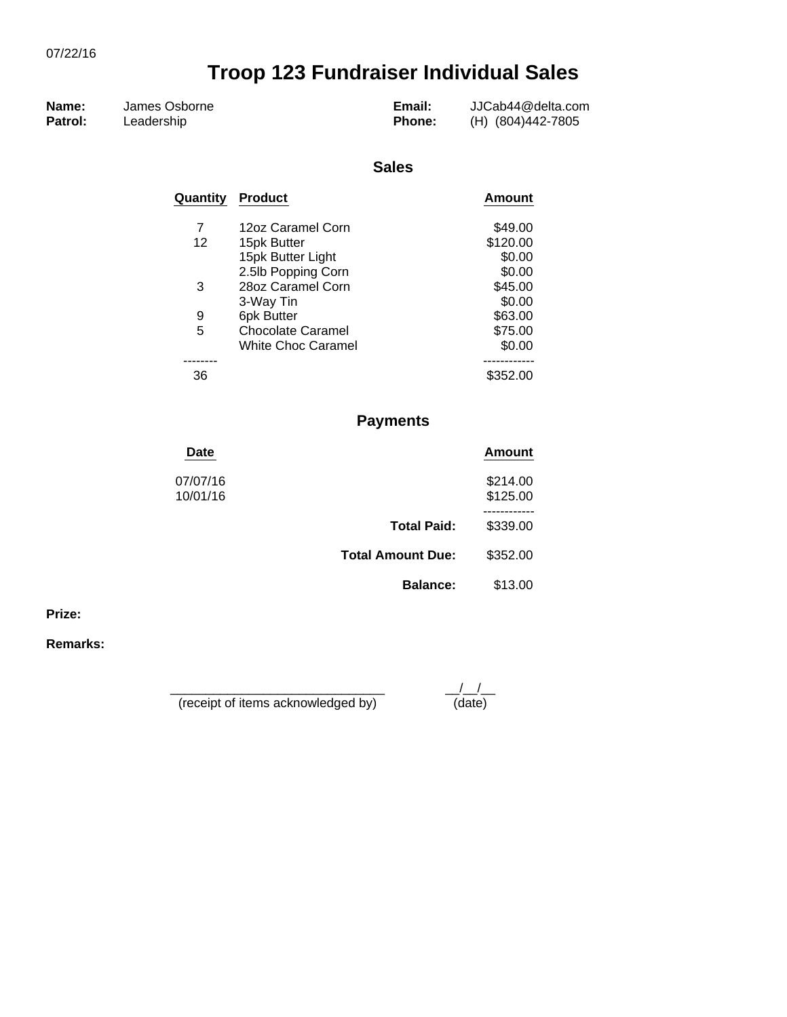| Name:   | James Osborne | Email:        | JJCab44@delta.com |
|---------|---------------|---------------|-------------------|
| Patrol: | ∟eadership    | <b>Phone:</b> | (H) (804)442-7805 |

#### **Sales**

| Quantity | <b>Product</b>            | Amount   |
|----------|---------------------------|----------|
| 7        | 12oz Caramel Corn         | \$49.00  |
| 12       | 15pk Butter               | \$120.00 |
|          | 15pk Butter Light         | \$0.00   |
|          | 2.5lb Popping Corn        | \$0.00   |
| 3        | 28oz Caramel Corn         | \$45.00  |
|          | 3-Way Tin                 | \$0.00   |
| 9        | 6pk Butter                | \$63.00  |
| 5        | <b>Chocolate Caramel</b>  | \$75.00  |
|          | <b>White Choc Caramel</b> | \$0.00   |
|          |                           |          |
| 36       |                           | \$352.00 |

## **Payments**

| Date                 |                          | <b>Amount</b>        |
|----------------------|--------------------------|----------------------|
| 07/07/16<br>10/01/16 |                          | \$214.00<br>\$125.00 |
|                      | <b>Total Paid:</b>       | \$339.00             |
|                      | <b>Total Amount Due:</b> | \$352.00             |
|                      | <b>Balance:</b>          | \$13.00              |

**Prize:**

**Remarks:**

\_\_\_\_\_\_\_\_\_\_\_\_\_\_\_\_\_\_\_\_\_\_\_\_\_\_\_\_\_\_ \_\_/\_\_/\_\_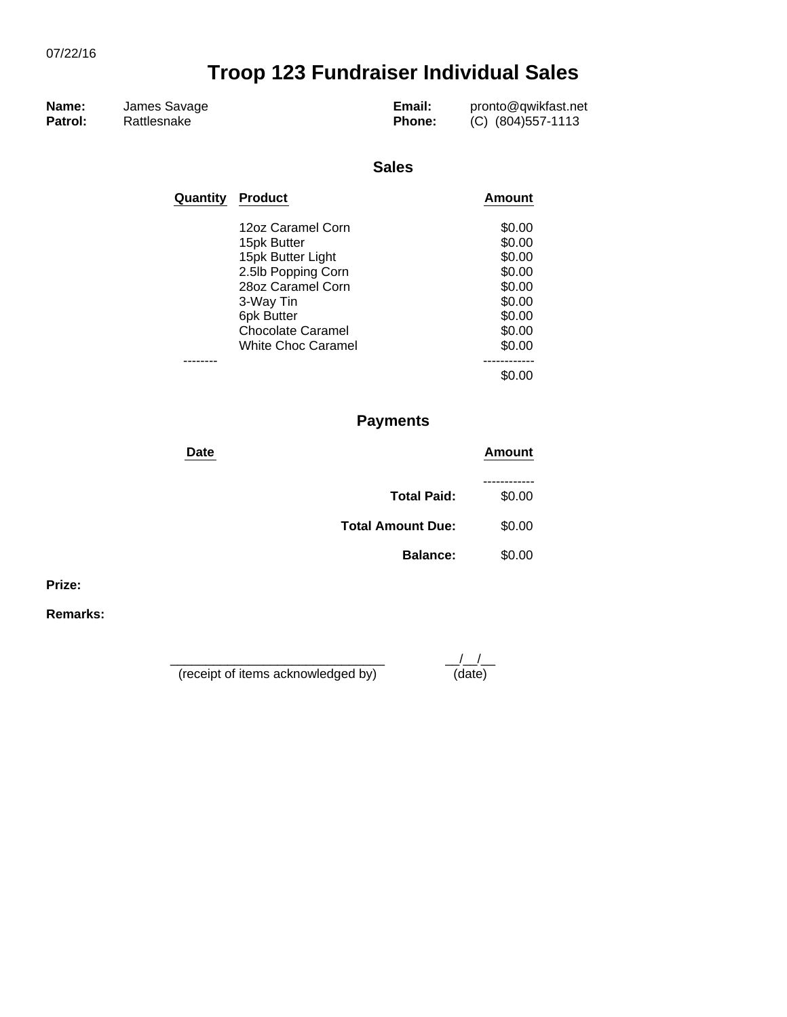| Name:<br>James Savage<br>Patrol:<br>Rattlesnake | Email:<br><b>Phone:</b> | pronto@qwikfast.net<br>(C) (804)557-1113 |
|-------------------------------------------------|-------------------------|------------------------------------------|
|-------------------------------------------------|-------------------------|------------------------------------------|

#### **Sales**

| Quantity | <b>Product</b>                          | Amount           |
|----------|-----------------------------------------|------------------|
|          | 12oz Caramel Corn                       | \$0.00           |
|          | 15pk Butter                             | \$0.00<br>\$0.00 |
|          | 15pk Butter Light<br>2.5lb Popping Corn | \$0.00           |
|          | 28oz Caramel Corn                       | \$0.00           |
|          | 3-Way Tin                               | \$0.00           |
|          | 6pk Butter                              | \$0.00           |
|          | <b>Chocolate Caramel</b>                | \$0.00           |
|          | <b>White Choc Caramel</b>               | \$0.00           |
|          |                                         |                  |
|          |                                         |                  |

## **Payments**

| Date                     | Amount |
|--------------------------|--------|
| <b>Total Paid:</b>       | \$0.00 |
| <b>Total Amount Due:</b> | \$0.00 |
| <b>Balance:</b>          | \$0.00 |

**Prize:**

**Remarks:**

\_\_\_\_\_\_\_\_\_\_\_\_\_\_\_\_\_\_\_\_\_\_\_\_\_\_\_\_\_\_ \_\_/\_\_/\_\_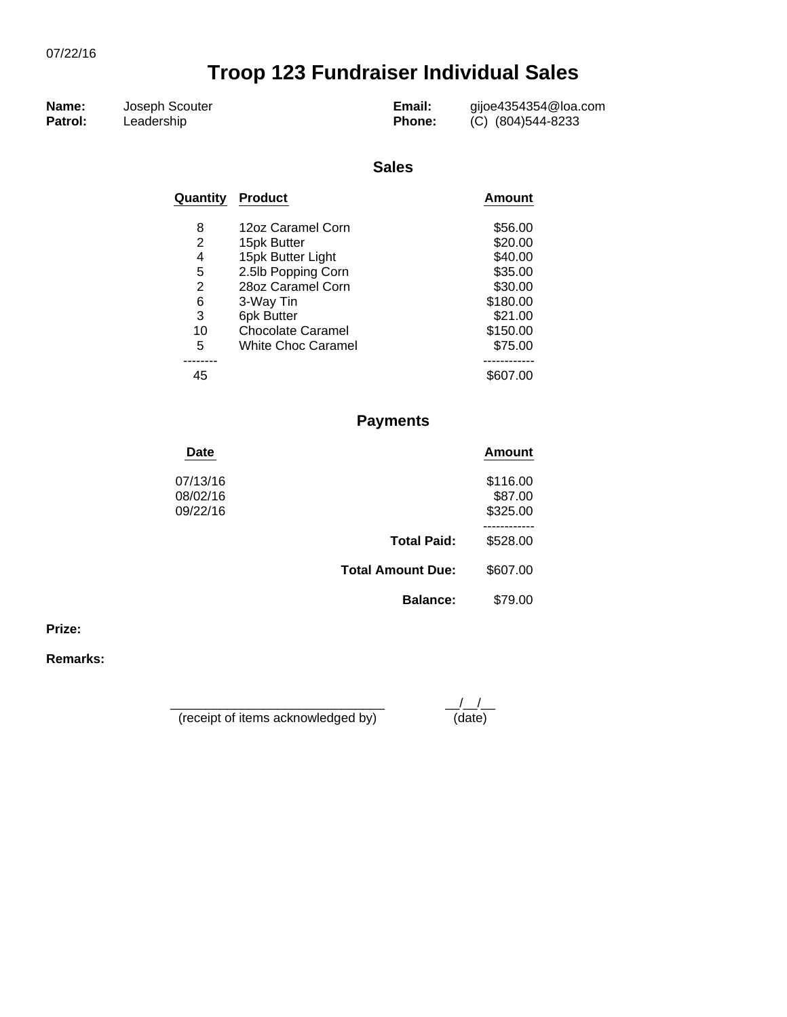| Name:   | Joseph Scouter | Email:        | gijoe4354354@loa.com |
|---------|----------------|---------------|----------------------|
| Patrol: | Leadership     | <b>Phone:</b> | (C) (804)544-8233    |

#### **Sales**

| Quantity | <b>Product</b>            | <b>Amount</b> |
|----------|---------------------------|---------------|
| 8        | 12oz Caramel Corn         | \$56.00       |
| 2        | 15pk Butter               | \$20.00       |
| 4        | 15pk Butter Light         | \$40.00       |
| 5        | 2.5lb Popping Corn        | \$35.00       |
| 2        | 28oz Caramel Corn         | \$30.00       |
| 6        | 3-Way Tin                 | \$180.00      |
| 3        | 6pk Butter                | \$21.00       |
| 10       | <b>Chocolate Caramel</b>  | \$150.00      |
| 5        | <b>White Choc Caramel</b> | \$75.00       |
|          |                           |               |
| 45       |                           |               |

### **Payments**

| <b>Date</b>                      |                          | Amount                          |
|----------------------------------|--------------------------|---------------------------------|
| 07/13/16<br>08/02/16<br>09/22/16 |                          | \$116.00<br>\$87.00<br>\$325.00 |
|                                  | <b>Total Paid:</b>       | \$528.00                        |
|                                  | <b>Total Amount Due:</b> | \$607.00                        |
|                                  | <b>Balance:</b>          | \$79.00                         |
|                                  |                          |                                 |

**Prize:**

**Remarks:**

\_\_\_\_\_\_\_\_\_\_\_\_\_\_\_\_\_\_\_\_\_\_\_\_\_\_\_\_\_\_ \_\_/\_\_/\_\_